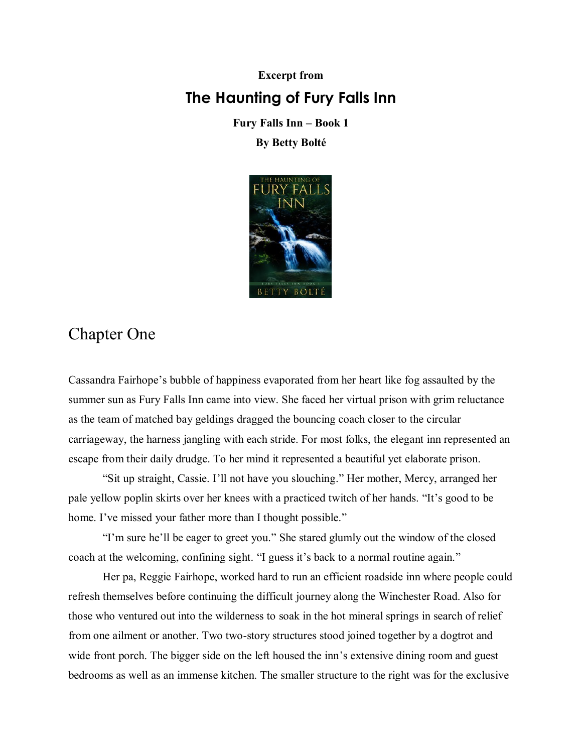**Excerpt from The Haunting of Fury Falls Inn**

> **Fury Falls Inn – Book 1 By Betty Bolté**



## Chapter One

Cassandra Fairhope's bubble of happiness evaporated from her heart like fog assaulted by the summer sun as Fury Falls Inn came into view. She faced her virtual prison with grim reluctance as the team of matched bay geldings dragged the bouncing coach closer to the circular carriageway, the harness jangling with each stride. For most folks, the elegant inn represented an escape from their daily drudge. To her mind it represented a beautiful yet elaborate prison.

"Sit up straight, Cassie. I'll not have you slouching." Her mother, Mercy, arranged her pale yellow poplin skirts over her knees with a practiced twitch of her hands. "It's good to be home. I've missed your father more than I thought possible."

"I'm sure he'll be eager to greet you." She stared glumly out the window of the closed coach at the welcoming, confining sight. "I guess it's back to a normal routine again."

Her pa, Reggie Fairhope, worked hard to run an efficient roadside inn where people could refresh themselves before continuing the difficult journey along the Winchester Road. Also for those who ventured out into the wilderness to soak in the hot mineral springs in search of relief from one ailment or another. Two two-story structures stood joined together by a dogtrot and wide front porch. The bigger side on the left housed the inn's extensive dining room and guest bedrooms as well as an immense kitchen. The smaller structure to the right was for the exclusive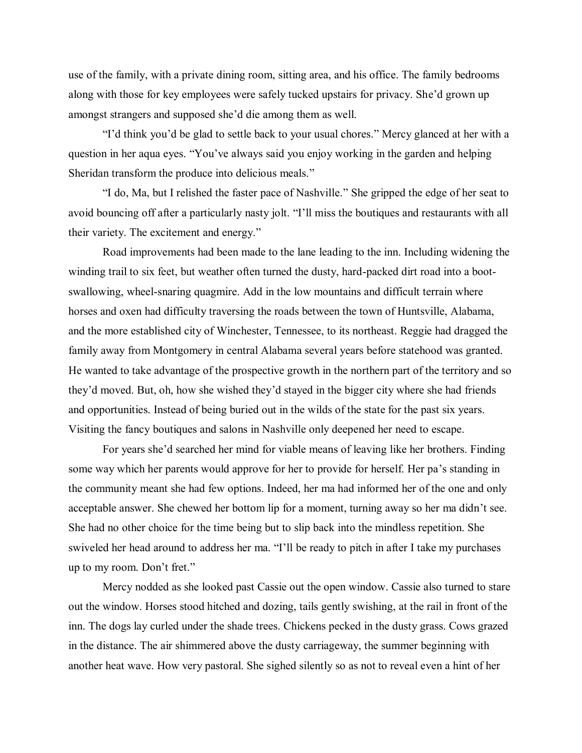use of the family, with a private dining room, sitting area, and his office. The family bedrooms along with those for key employees were safely tucked upstairs for privacy. She'd grown up amongst strangers and supposed she'd die among them as well.

"I'd think you'd be glad to settle back to your usual chores." Mercy glanced at her with a question in her aqua eyes. "You've always said you enjoy working in the garden and helping Sheridan transform the produce into delicious meals."

"I do, Ma, but I relished the faster pace of Nashville." She gripped the edge of her seat to avoid bouncing off after a particularly nasty jolt. "I'll miss the boutiques and restaurants with all their variety. The excitement and energy."

Road improvements had been made to the lane leading to the inn. Including widening the winding trail to six feet, but weather often turned the dusty, hard-packed dirt road into a bootswallowing, wheel-snaring quagmire. Add in the low mountains and difficult terrain where horses and oxen had difficulty traversing the roads between the town of Huntsville, Alabama, and the more established city of Winchester, Tennessee, to its northeast. Reggie had dragged the family away from Montgomery in central Alabama several years before statehood was granted. He wanted to take advantage of the prospective growth in the northern part of the territory and so they'd moved. But, oh, how she wished they'd stayed in the bigger city where she had friends and opportunities. Instead of being buried out in the wilds of the state for the past six years. Visiting the fancy boutiques and salons in Nashville only deepened her need to escape.

For years she'd searched her mind for viable means of leaving like her brothers. Finding some way which her parents would approve for her to provide for herself. Her pa's standing in the community meant she had few options. Indeed, her ma had informed her of the one and only acceptable answer. She chewed her bottom lip for a moment, turning away so her ma didn't see. She had no other choice for the time being but to slip back into the mindless repetition. She swiveled her head around to address her ma. "I'll be ready to pitch in after I take my purchases up to my room. Don't fret."

Mercy nodded as she looked past Cassie out the open window. Cassie also turned to stare out the window. Horses stood hitched and dozing, tails gently swishing, at the rail in front of the inn. The dogs lay curled under the shade trees. Chickens pecked in the dusty grass. Cows grazed in the distance. The air shimmered above the dusty carriageway, the summer beginning with another heat wave. How very pastoral. She sighed silently so as not to reveal even a hint of her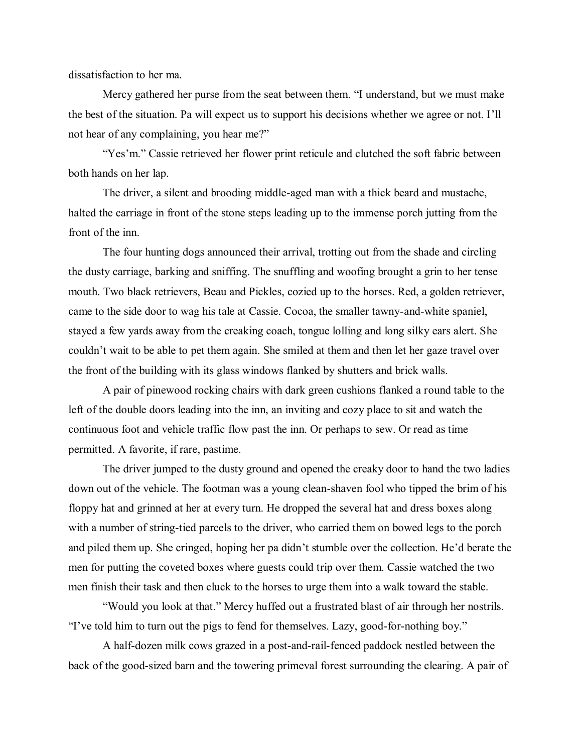dissatisfaction to her ma.

Mercy gathered her purse from the seat between them. "I understand, but we must make the best of the situation. Pa will expect us to support his decisions whether we agree or not. I'll not hear of any complaining, you hear me?"

"Yes'm." Cassie retrieved her flower print reticule and clutched the soft fabric between both hands on her lap.

The driver, a silent and brooding middle-aged man with a thick beard and mustache, halted the carriage in front of the stone steps leading up to the immense porch jutting from the front of the inn.

The four hunting dogs announced their arrival, trotting out from the shade and circling the dusty carriage, barking and sniffing. The snuffling and woofing brought a grin to her tense mouth. Two black retrievers, Beau and Pickles, cozied up to the horses. Red, a golden retriever, came to the side door to wag his tale at Cassie. Cocoa, the smaller tawny-and-white spaniel, stayed a few yards away from the creaking coach, tongue lolling and long silky ears alert. She couldn't wait to be able to pet them again. She smiled at them and then let her gaze travel over the front of the building with its glass windows flanked by shutters and brick walls.

A pair of pinewood rocking chairs with dark green cushions flanked a round table to the left of the double doors leading into the inn, an inviting and cozy place to sit and watch the continuous foot and vehicle traffic flow past the inn. Or perhaps to sew. Or read as time permitted. A favorite, if rare, pastime.

The driver jumped to the dusty ground and opened the creaky door to hand the two ladies down out of the vehicle. The footman was a young clean-shaven fool who tipped the brim of his floppy hat and grinned at her at every turn. He dropped the several hat and dress boxes along with a number of string-tied parcels to the driver, who carried them on bowed legs to the porch and piled them up. She cringed, hoping her pa didn't stumble over the collection. He'd berate the men for putting the coveted boxes where guests could trip over them. Cassie watched the two men finish their task and then cluck to the horses to urge them into a walk toward the stable.

"Would you look at that." Mercy huffed out a frustrated blast of air through her nostrils. "I've told him to turn out the pigs to fend for themselves. Lazy, good-for-nothing boy."

A half-dozen milk cows grazed in a post-and-rail-fenced paddock nestled between the back of the good-sized barn and the towering primeval forest surrounding the clearing. A pair of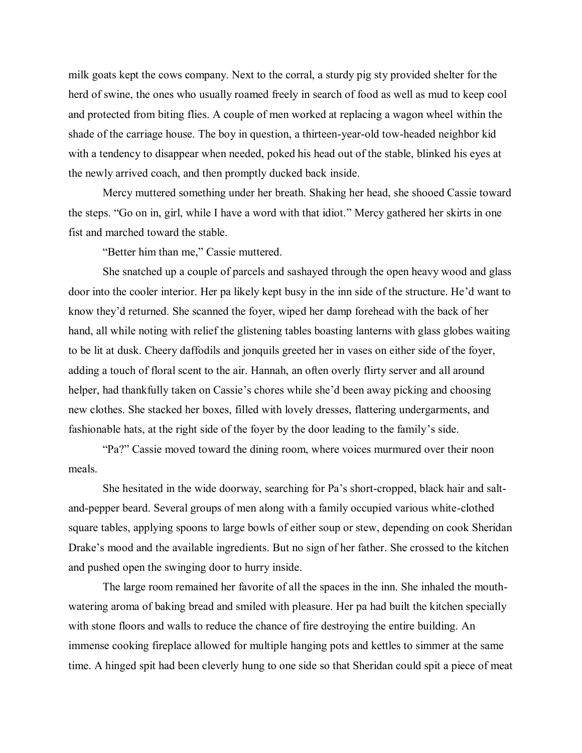milk goats kept the cows company. Next to the corral, a sturdy pig sty provided shelter for the herd of swine, the ones who usually roamed freely in search of food as well as mud to keep cool and protected from biting flies. A couple of men worked at replacing a wagon wheel within the shade of the carriage house. The boy in question, a thirteen-year-old tow-headed neighbor kid with a tendency to disappear when needed, poked his head out of the stable, blinked his eyes at the newly arrived coach, and then promptly ducked back inside.

Mercy muttered something under her breath. Shaking her head, she shooed Cassie toward the steps. "Go on in, girl, while I have a word with that idiot." Mercy gathered her skirts in one fist and marched toward the stable.

"Better him than me," Cassie muttered.

She snatched up a couple of parcels and sashayed through the open heavy wood and glass door into the cooler interior. Her pa likely kept busy in the inn side of the structure. He'd want to know they'd returned. She scanned the foyer, wiped her damp forehead with the back of her hand, all while noting with relief the glistening tables boasting lanterns with glass globes waiting to be lit at dusk. Cheery daffodils and jonquils greeted her in vases on either side of the foyer, adding a touch of floral scent to the air. Hannah, an often overly flirty server and all around helper, had thankfully taken on Cassie's chores while she'd been away picking and choosing new clothes. She stacked her boxes, filled with lovely dresses, flattering undergarments, and fashionable hats, at the right side of the foyer by the door leading to the family's side.

"Pa?" Cassie moved toward the dining room, where voices murmured over their noon meals.

She hesitated in the wide doorway, searching for Pa's short-cropped, black hair and saltand-pepper beard. Several groups of men along with a family occupied various white-clothed square tables, applying spoons to large bowls of either soup or stew, depending on cook Sheridan Drake's mood and the available ingredients. But no sign of her father. She crossed to the kitchen and pushed open the swinging door to hurry inside.

The large room remained her favorite of all the spaces in the inn. She inhaled the mouthwatering aroma of baking bread and smiled with pleasure. Her pa had built the kitchen specially with stone floors and walls to reduce the chance of fire destroying the entire building. An immense cooking fireplace allowed for multiple hanging pots and kettles to simmer at the same time. A hinged spit had been cleverly hung to one side so that Sheridan could spit a piece of meat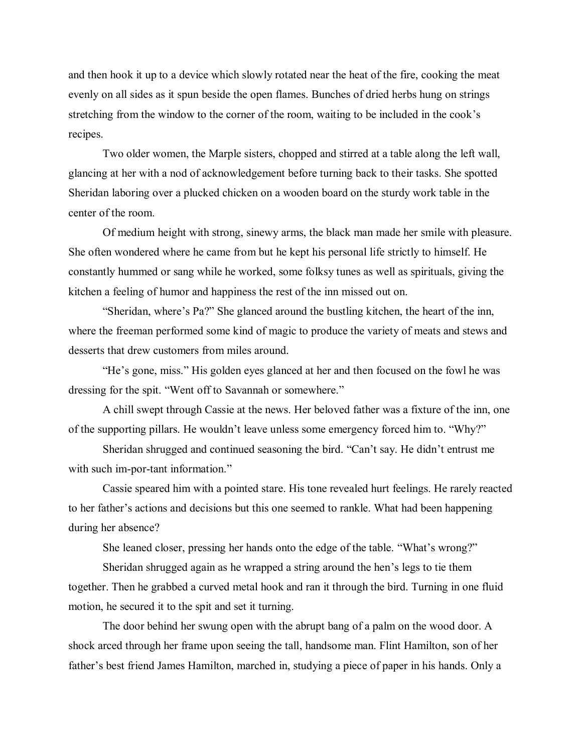and then hook it up to a device which slowly rotated near the heat of the fire, cooking the meat evenly on all sides as it spun beside the open flames. Bunches of dried herbs hung on strings stretching from the window to the corner of the room, waiting to be included in the cook's recipes.

Two older women, the Marple sisters, chopped and stirred at a table along the left wall, glancing at her with a nod of acknowledgement before turning back to their tasks. She spotted Sheridan laboring over a plucked chicken on a wooden board on the sturdy work table in the center of the room.

Of medium height with strong, sinewy arms, the black man made her smile with pleasure. She often wondered where he came from but he kept his personal life strictly to himself. He constantly hummed or sang while he worked, some folksy tunes as well as spirituals, giving the kitchen a feeling of humor and happiness the rest of the inn missed out on.

"Sheridan, where's Pa?" She glanced around the bustling kitchen, the heart of the inn, where the freeman performed some kind of magic to produce the variety of meats and stews and desserts that drew customers from miles around.

"He's gone, miss." His golden eyes glanced at her and then focused on the fowl he was dressing for the spit. "Went off to Savannah or somewhere."

A chill swept through Cassie at the news. Her beloved father was a fixture of the inn, one of the supporting pillars. He wouldn't leave unless some emergency forced him to. "Why?"

Sheridan shrugged and continued seasoning the bird. "Can't say. He didn't entrust me with such im-por-tant information."

Cassie speared him with a pointed stare. His tone revealed hurt feelings. He rarely reacted to her father's actions and decisions but this one seemed to rankle. What had been happening during her absence?

She leaned closer, pressing her hands onto the edge of the table. "What's wrong?"

Sheridan shrugged again as he wrapped a string around the hen's legs to tie them together. Then he grabbed a curved metal hook and ran it through the bird. Turning in one fluid motion, he secured it to the spit and set it turning.

The door behind her swung open with the abrupt bang of a palm on the wood door. A shock arced through her frame upon seeing the tall, handsome man. Flint Hamilton, son of her father's best friend James Hamilton, marched in, studying a piece of paper in his hands. Only a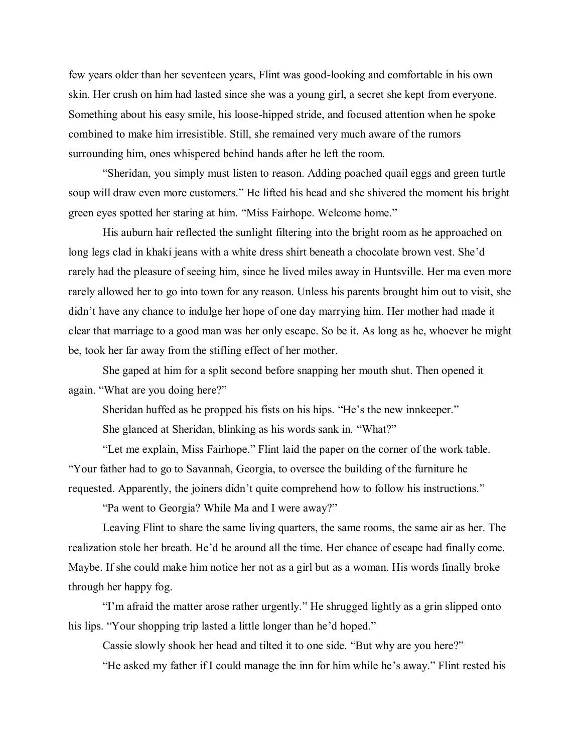few years older than her seventeen years, Flint was good-looking and comfortable in his own skin. Her crush on him had lasted since she was a young girl, a secret she kept from everyone. Something about his easy smile, his loose-hipped stride, and focused attention when he spoke combined to make him irresistible. Still, she remained very much aware of the rumors surrounding him, ones whispered behind hands after he left the room.

"Sheridan, you simply must listen to reason. Adding poached quail eggs and green turtle soup will draw even more customers." He lifted his head and she shivered the moment his bright green eyes spotted her staring at him. "Miss Fairhope. Welcome home."

His auburn hair reflected the sunlight filtering into the bright room as he approached on long legs clad in khaki jeans with a white dress shirt beneath a chocolate brown vest. She'd rarely had the pleasure of seeing him, since he lived miles away in Huntsville. Her ma even more rarely allowed her to go into town for any reason. Unless his parents brought him out to visit, she didn't have any chance to indulge her hope of one day marrying him. Her mother had made it clear that marriage to a good man was her only escape. So be it. As long as he, whoever he might be, took her far away from the stifling effect of her mother.

She gaped at him for a split second before snapping her mouth shut. Then opened it again. "What are you doing here?"

Sheridan huffed as he propped his fists on his hips. "He's the new innkeeper."

She glanced at Sheridan, blinking as his words sank in. "What?"

"Let me explain, Miss Fairhope." Flint laid the paper on the corner of the work table. "Your father had to go to Savannah, Georgia, to oversee the building of the furniture he requested. Apparently, the joiners didn't quite comprehend how to follow his instructions."

"Pa went to Georgia? While Ma and I were away?"

Leaving Flint to share the same living quarters, the same rooms, the same air as her. The realization stole her breath. He'd be around all the time. Her chance of escape had finally come. Maybe. If she could make him notice her not as a girl but as a woman. His words finally broke through her happy fog.

"I'm afraid the matter arose rather urgently." He shrugged lightly as a grin slipped onto his lips. "Your shopping trip lasted a little longer than he'd hoped."

Cassie slowly shook her head and tilted it to one side. "But why are you here?"

"He asked my father if I could manage the inn for him while he's away." Flint rested his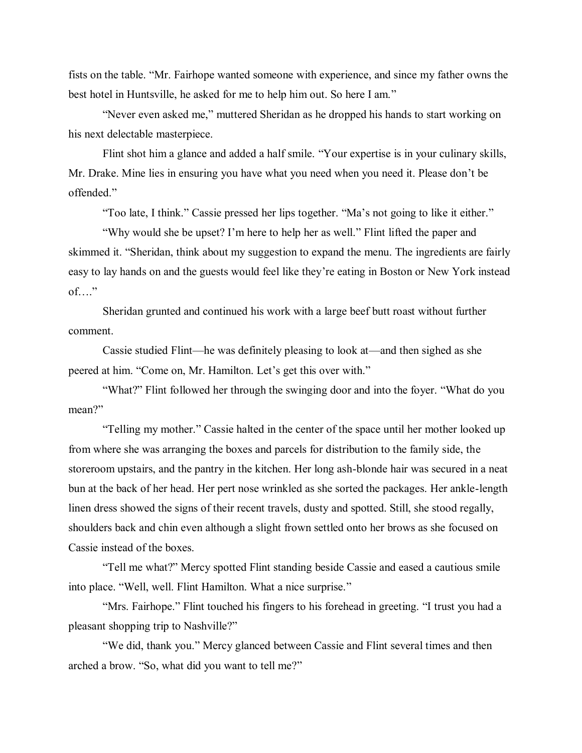fists on the table. "Mr. Fairhope wanted someone with experience, and since my father owns the best hotel in Huntsville, he asked for me to help him out. So here I am."

"Never even asked me," muttered Sheridan as he dropped his hands to start working on his next delectable masterpiece.

Flint shot him a glance and added a half smile. "Your expertise is in your culinary skills, Mr. Drake. Mine lies in ensuring you have what you need when you need it. Please don't be offended."

"Too late, I think." Cassie pressed her lips together. "Ma's not going to like it either."

"Why would she be upset? I'm here to help her as well." Flint lifted the paper and skimmed it. "Sheridan, think about my suggestion to expand the menu. The ingredients are fairly easy to lay hands on and the guests would feel like they're eating in Boston or New York instead of…."

Sheridan grunted and continued his work with a large beef butt roast without further comment.

Cassie studied Flint—he was definitely pleasing to look at—and then sighed as she peered at him. "Come on, Mr. Hamilton. Let's get this over with."

"What?" Flint followed her through the swinging door and into the foyer. "What do you mean?"

"Telling my mother." Cassie halted in the center of the space until her mother looked up from where she was arranging the boxes and parcels for distribution to the family side, the storeroom upstairs, and the pantry in the kitchen. Her long ash-blonde hair was secured in a neat bun at the back of her head. Her pert nose wrinkled as she sorted the packages. Her ankle-length linen dress showed the signs of their recent travels, dusty and spotted. Still, she stood regally, shoulders back and chin even although a slight frown settled onto her brows as she focused on Cassie instead of the boxes.

"Tell me what?" Mercy spotted Flint standing beside Cassie and eased a cautious smile into place. "Well, well. Flint Hamilton. What a nice surprise."

"Mrs. Fairhope." Flint touched his fingers to his forehead in greeting. "I trust you had a pleasant shopping trip to Nashville?"

"We did, thank you." Mercy glanced between Cassie and Flint several times and then arched a brow. "So, what did you want to tell me?"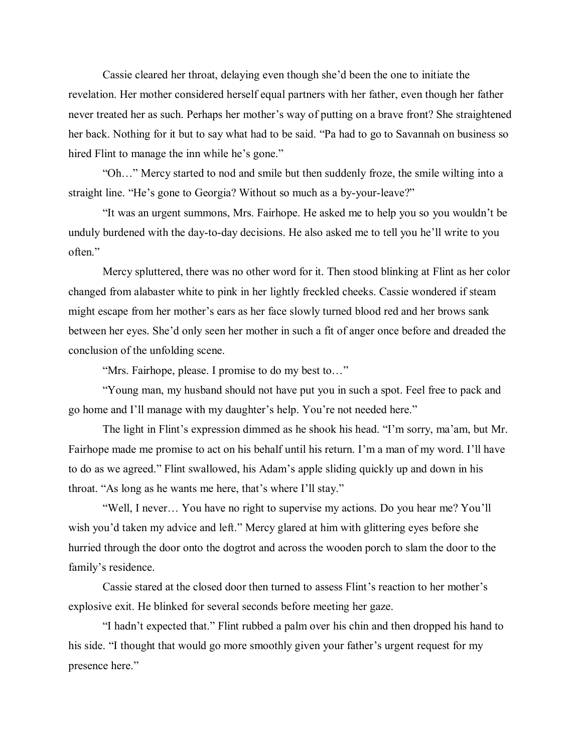Cassie cleared her throat, delaying even though she'd been the one to initiate the revelation. Her mother considered herself equal partners with her father, even though her father never treated her as such. Perhaps her mother's way of putting on a brave front? She straightened her back. Nothing for it but to say what had to be said. "Pa had to go to Savannah on business so hired Flint to manage the inn while he's gone."

"Oh…" Mercy started to nod and smile but then suddenly froze, the smile wilting into a straight line. "He's gone to Georgia? Without so much as a by-your-leave?"

"It was an urgent summons, Mrs. Fairhope. He asked me to help you so you wouldn't be unduly burdened with the day-to-day decisions. He also asked me to tell you he'll write to you often."

Mercy spluttered, there was no other word for it. Then stood blinking at Flint as her color changed from alabaster white to pink in her lightly freckled cheeks. Cassie wondered if steam might escape from her mother's ears as her face slowly turned blood red and her brows sank between her eyes. She'd only seen her mother in such a fit of anger once before and dreaded the conclusion of the unfolding scene.

"Mrs. Fairhope, please. I promise to do my best to…"

"Young man, my husband should not have put you in such a spot. Feel free to pack and go home and I'll manage with my daughter's help. You're not needed here."

The light in Flint's expression dimmed as he shook his head. "I'm sorry, ma'am, but Mr. Fairhope made me promise to act on his behalf until his return. I'm a man of my word. I'll have to do as we agreed." Flint swallowed, his Adam's apple sliding quickly up and down in his throat. "As long as he wants me here, that's where I'll stay."

"Well, I never… You have no right to supervise my actions. Do you hear me? You'll wish you'd taken my advice and left." Mercy glared at him with glittering eyes before she hurried through the door onto the dogtrot and across the wooden porch to slam the door to the family's residence.

Cassie stared at the closed door then turned to assess Flint's reaction to her mother's explosive exit. He blinked for several seconds before meeting her gaze.

"I hadn't expected that." Flint rubbed a palm over his chin and then dropped his hand to his side. "I thought that would go more smoothly given your father's urgent request for my presence here."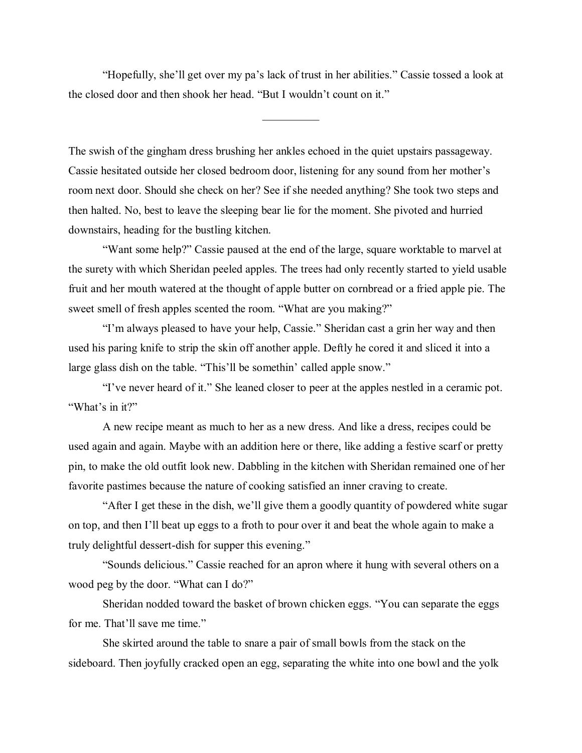"Hopefully, she'll get over my pa's lack of trust in her abilities." Cassie tossed a look at the closed door and then shook her head. "But I wouldn't count on it."

 $\frac{1}{2}$ 

The swish of the gingham dress brushing her ankles echoed in the quiet upstairs passageway. Cassie hesitated outside her closed bedroom door, listening for any sound from her mother's room next door. Should she check on her? See if she needed anything? She took two steps and then halted. No, best to leave the sleeping bear lie for the moment. She pivoted and hurried downstairs, heading for the bustling kitchen.

"Want some help?" Cassie paused at the end of the large, square worktable to marvel at the surety with which Sheridan peeled apples. The trees had only recently started to yield usable fruit and her mouth watered at the thought of apple butter on cornbread or a fried apple pie. The sweet smell of fresh apples scented the room. "What are you making?"

"I'm always pleased to have your help, Cassie." Sheridan cast a grin her way and then used his paring knife to strip the skin off another apple. Deftly he cored it and sliced it into a large glass dish on the table. "This'll be somethin' called apple snow."

"I've never heard of it." She leaned closer to peer at the apples nestled in a ceramic pot. "What's in it?"

A new recipe meant as much to her as a new dress. And like a dress, recipes could be used again and again. Maybe with an addition here or there, like adding a festive scarf or pretty pin, to make the old outfit look new. Dabbling in the kitchen with Sheridan remained one of her favorite pastimes because the nature of cooking satisfied an inner craving to create.

"After I get these in the dish, we'll give them a goodly quantity of powdered white sugar on top, and then I'll beat up eggs to a froth to pour over it and beat the whole again to make a truly delightful dessert-dish for supper this evening."

"Sounds delicious." Cassie reached for an apron where it hung with several others on a wood peg by the door. "What can I do?"

Sheridan nodded toward the basket of brown chicken eggs. "You can separate the eggs for me. That'll save me time."

She skirted around the table to snare a pair of small bowls from the stack on the sideboard. Then joyfully cracked open an egg, separating the white into one bowl and the yolk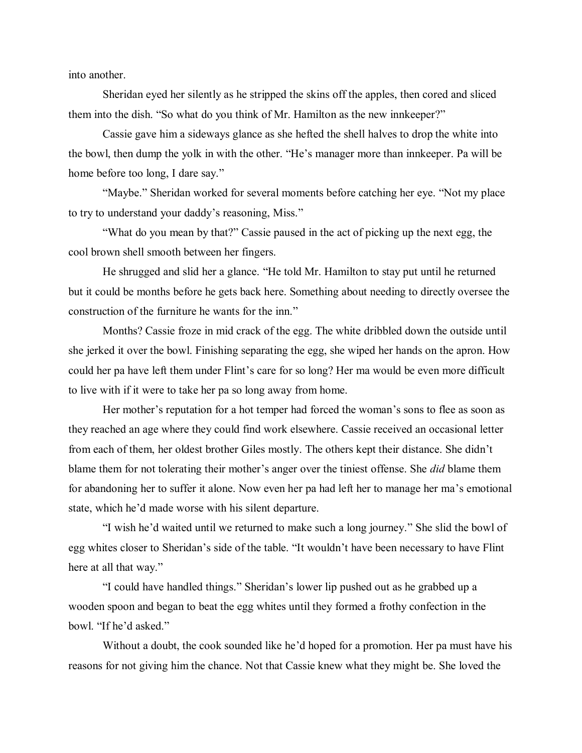into another.

Sheridan eyed her silently as he stripped the skins off the apples, then cored and sliced them into the dish. "So what do you think of Mr. Hamilton as the new innkeeper?"

Cassie gave him a sideways glance as she hefted the shell halves to drop the white into the bowl, then dump the yolk in with the other. "He's manager more than innkeeper. Pa will be home before too long, I dare say."

"Maybe." Sheridan worked for several moments before catching her eye. "Not my place to try to understand your daddy's reasoning, Miss."

"What do you mean by that?" Cassie paused in the act of picking up the next egg, the cool brown shell smooth between her fingers.

He shrugged and slid her a glance. "He told Mr. Hamilton to stay put until he returned but it could be months before he gets back here. Something about needing to directly oversee the construction of the furniture he wants for the inn."

Months? Cassie froze in mid crack of the egg. The white dribbled down the outside until she jerked it over the bowl. Finishing separating the egg, she wiped her hands on the apron. How could her pa have left them under Flint's care for so long? Her ma would be even more difficult to live with if it were to take her pa so long away from home.

Her mother's reputation for a hot temper had forced the woman's sons to flee as soon as they reached an age where they could find work elsewhere. Cassie received an occasional letter from each of them, her oldest brother Giles mostly. The others kept their distance. She didn't blame them for not tolerating their mother's anger over the tiniest offense. She *did* blame them for abandoning her to suffer it alone. Now even her pa had left her to manage her ma's emotional state, which he'd made worse with his silent departure.

"I wish he'd waited until we returned to make such a long journey." She slid the bowl of egg whites closer to Sheridan's side of the table. "It wouldn't have been necessary to have Flint here at all that way."

"I could have handled things." Sheridan's lower lip pushed out as he grabbed up a wooden spoon and began to beat the egg whites until they formed a frothy confection in the bowl. "If he'd asked."

Without a doubt, the cook sounded like he'd hoped for a promotion. Her pa must have his reasons for not giving him the chance. Not that Cassie knew what they might be. She loved the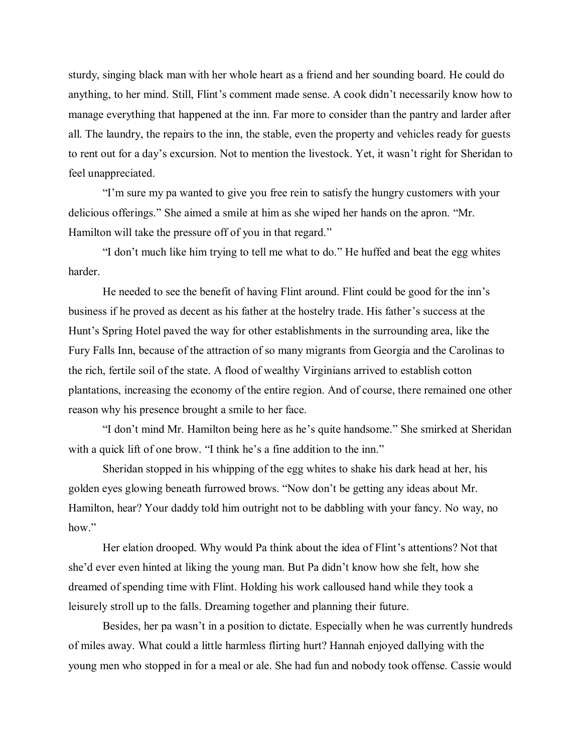sturdy, singing black man with her whole heart as a friend and her sounding board. He could do anything, to her mind. Still, Flint's comment made sense. A cook didn't necessarily know how to manage everything that happened at the inn. Far more to consider than the pantry and larder after all. The laundry, the repairs to the inn, the stable, even the property and vehicles ready for guests to rent out for a day's excursion. Not to mention the livestock. Yet, it wasn't right for Sheridan to feel unappreciated.

"I'm sure my pa wanted to give you free rein to satisfy the hungry customers with your delicious offerings." She aimed a smile at him as she wiped her hands on the apron. "Mr. Hamilton will take the pressure off of you in that regard."

"I don't much like him trying to tell me what to do." He huffed and beat the egg whites harder.

He needed to see the benefit of having Flint around. Flint could be good for the inn's business if he proved as decent as his father at the hostelry trade. His father's success at the Hunt's Spring Hotel paved the way for other establishments in the surrounding area, like the Fury Falls Inn, because of the attraction of so many migrants from Georgia and the Carolinas to the rich, fertile soil of the state. A flood of wealthy Virginians arrived to establish cotton plantations, increasing the economy of the entire region. And of course, there remained one other reason why his presence brought a smile to her face.

"I don't mind Mr. Hamilton being here as he's quite handsome." She smirked at Sheridan with a quick lift of one brow. "I think he's a fine addition to the inn."

Sheridan stopped in his whipping of the egg whites to shake his dark head at her, his golden eyes glowing beneath furrowed brows. "Now don't be getting any ideas about Mr. Hamilton, hear? Your daddy told him outright not to be dabbling with your fancy. No way, no how."

Her elation drooped. Why would Pa think about the idea of Flint's attentions? Not that she'd ever even hinted at liking the young man. But Pa didn't know how she felt, how she dreamed of spending time with Flint. Holding his work calloused hand while they took a leisurely stroll up to the falls. Dreaming together and planning their future.

Besides, her pa wasn't in a position to dictate. Especially when he was currently hundreds of miles away. What could a little harmless flirting hurt? Hannah enjoyed dallying with the young men who stopped in for a meal or ale. She had fun and nobody took offense. Cassie would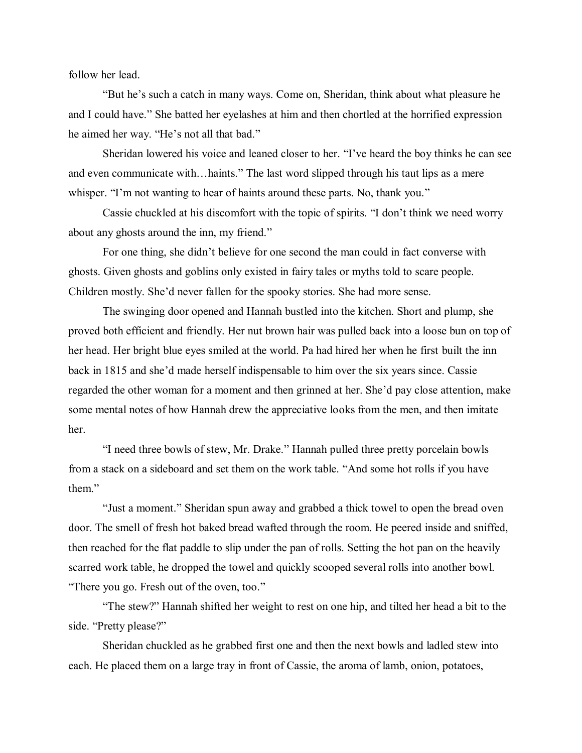follow her lead.

"But he's such a catch in many ways. Come on, Sheridan, think about what pleasure he and I could have." She batted her eyelashes at him and then chortled at the horrified expression he aimed her way. "He's not all that bad."

Sheridan lowered his voice and leaned closer to her. "I've heard the boy thinks he can see and even communicate with…haints." The last word slipped through his taut lips as a mere whisper. "I'm not wanting to hear of haints around these parts. No, thank you."

Cassie chuckled at his discomfort with the topic of spirits. "I don't think we need worry about any ghosts around the inn, my friend."

For one thing, she didn't believe for one second the man could in fact converse with ghosts. Given ghosts and goblins only existed in fairy tales or myths told to scare people. Children mostly. She'd never fallen for the spooky stories. She had more sense.

The swinging door opened and Hannah bustled into the kitchen. Short and plump, she proved both efficient and friendly. Her nut brown hair was pulled back into a loose bun on top of her head. Her bright blue eyes smiled at the world. Pa had hired her when he first built the inn back in 1815 and she'd made herself indispensable to him over the six years since. Cassie regarded the other woman for a moment and then grinned at her. She'd pay close attention, make some mental notes of how Hannah drew the appreciative looks from the men, and then imitate her.

"I need three bowls of stew, Mr. Drake." Hannah pulled three pretty porcelain bowls from a stack on a sideboard and set them on the work table. "And some hot rolls if you have them."

"Just a moment." Sheridan spun away and grabbed a thick towel to open the bread oven door. The smell of fresh hot baked bread wafted through the room. He peered inside and sniffed, then reached for the flat paddle to slip under the pan of rolls. Setting the hot pan on the heavily scarred work table, he dropped the towel and quickly scooped several rolls into another bowl. "There you go. Fresh out of the oven, too."

"The stew?" Hannah shifted her weight to rest on one hip, and tilted her head a bit to the side. "Pretty please?"

Sheridan chuckled as he grabbed first one and then the next bowls and ladled stew into each. He placed them on a large tray in front of Cassie, the aroma of lamb, onion, potatoes,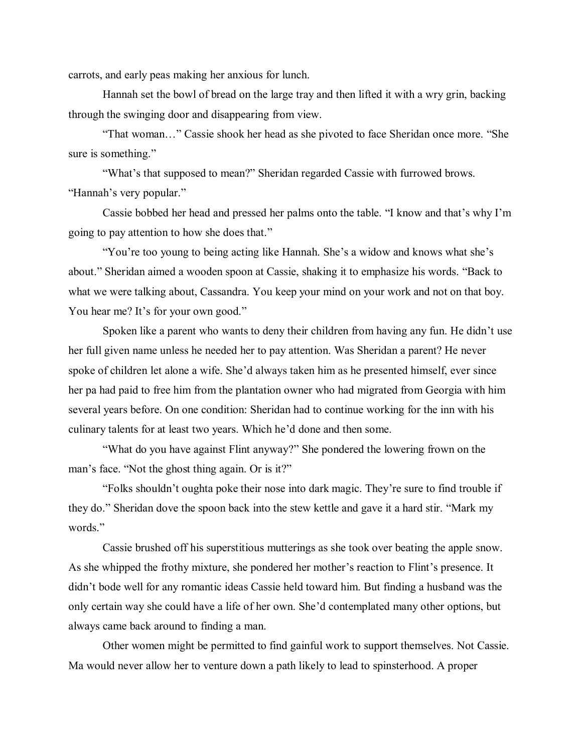carrots, and early peas making her anxious for lunch.

Hannah set the bowl of bread on the large tray and then lifted it with a wry grin, backing through the swinging door and disappearing from view.

"That woman…" Cassie shook her head as she pivoted to face Sheridan once more. "She sure is something."

"What's that supposed to mean?" Sheridan regarded Cassie with furrowed brows. "Hannah's very popular."

Cassie bobbed her head and pressed her palms onto the table. "I know and that's why I'm going to pay attention to how she does that."

"You're too young to being acting like Hannah. She's a widow and knows what she's about." Sheridan aimed a wooden spoon at Cassie, shaking it to emphasize his words. "Back to what we were talking about, Cassandra. You keep your mind on your work and not on that boy. You hear me? It's for your own good."

Spoken like a parent who wants to deny their children from having any fun. He didn't use her full given name unless he needed her to pay attention. Was Sheridan a parent? He never spoke of children let alone a wife. She'd always taken him as he presented himself, ever since her pa had paid to free him from the plantation owner who had migrated from Georgia with him several years before. On one condition: Sheridan had to continue working for the inn with his culinary talents for at least two years. Which he'd done and then some.

"What do you have against Flint anyway?" She pondered the lowering frown on the man's face. "Not the ghost thing again. Or is it?"

"Folks shouldn't oughta poke their nose into dark magic. They're sure to find trouble if they do." Sheridan dove the spoon back into the stew kettle and gave it a hard stir. "Mark my words."

Cassie brushed off his superstitious mutterings as she took over beating the apple snow. As she whipped the frothy mixture, she pondered her mother's reaction to Flint's presence. It didn't bode well for any romantic ideas Cassie held toward him. But finding a husband was the only certain way she could have a life of her own. She'd contemplated many other options, but always came back around to finding a man.

Other women might be permitted to find gainful work to support themselves. Not Cassie. Ma would never allow her to venture down a path likely to lead to spinsterhood. A proper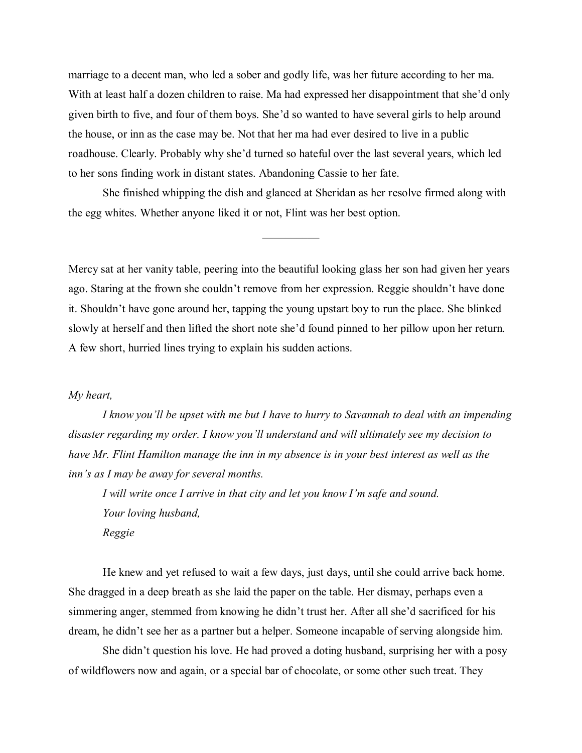marriage to a decent man, who led a sober and godly life, was her future according to her ma. With at least half a dozen children to raise. Ma had expressed her disappointment that she'd only given birth to five, and four of them boys. She'd so wanted to have several girls to help around the house, or inn as the case may be. Not that her ma had ever desired to live in a public roadhouse. Clearly. Probably why she'd turned so hateful over the last several years, which led to her sons finding work in distant states. Abandoning Cassie to her fate.

She finished whipping the dish and glanced at Sheridan as her resolve firmed along with the egg whites. Whether anyone liked it or not, Flint was her best option.

Mercy sat at her vanity table, peering into the beautiful looking glass her son had given her years ago. Staring at the frown she couldn't remove from her expression. Reggie shouldn't have done it. Shouldn't have gone around her, tapping the young upstart boy to run the place. She blinked slowly at herself and then lifted the short note she'd found pinned to her pillow upon her return. A few short, hurried lines trying to explain his sudden actions.

## *My heart,*

*I know you'll be upset with me but I have to hurry to Savannah to deal with an impending disaster regarding my order. I know you'll understand and will ultimately see my decision to have Mr. Flint Hamilton manage the inn in my absence is in your best interest as well as the inn's as I may be away for several months.*

*I will write once I arrive in that city and let you know I'm safe and sound. Your loving husband, Reggie*

He knew and yet refused to wait a few days, just days, until she could arrive back home. She dragged in a deep breath as she laid the paper on the table. Her dismay, perhaps even a simmering anger, stemmed from knowing he didn't trust her. After all she'd sacrificed for his dream, he didn't see her as a partner but a helper. Someone incapable of serving alongside him.

She didn't question his love. He had proved a doting husband, surprising her with a posy of wildflowers now and again, or a special bar of chocolate, or some other such treat. They